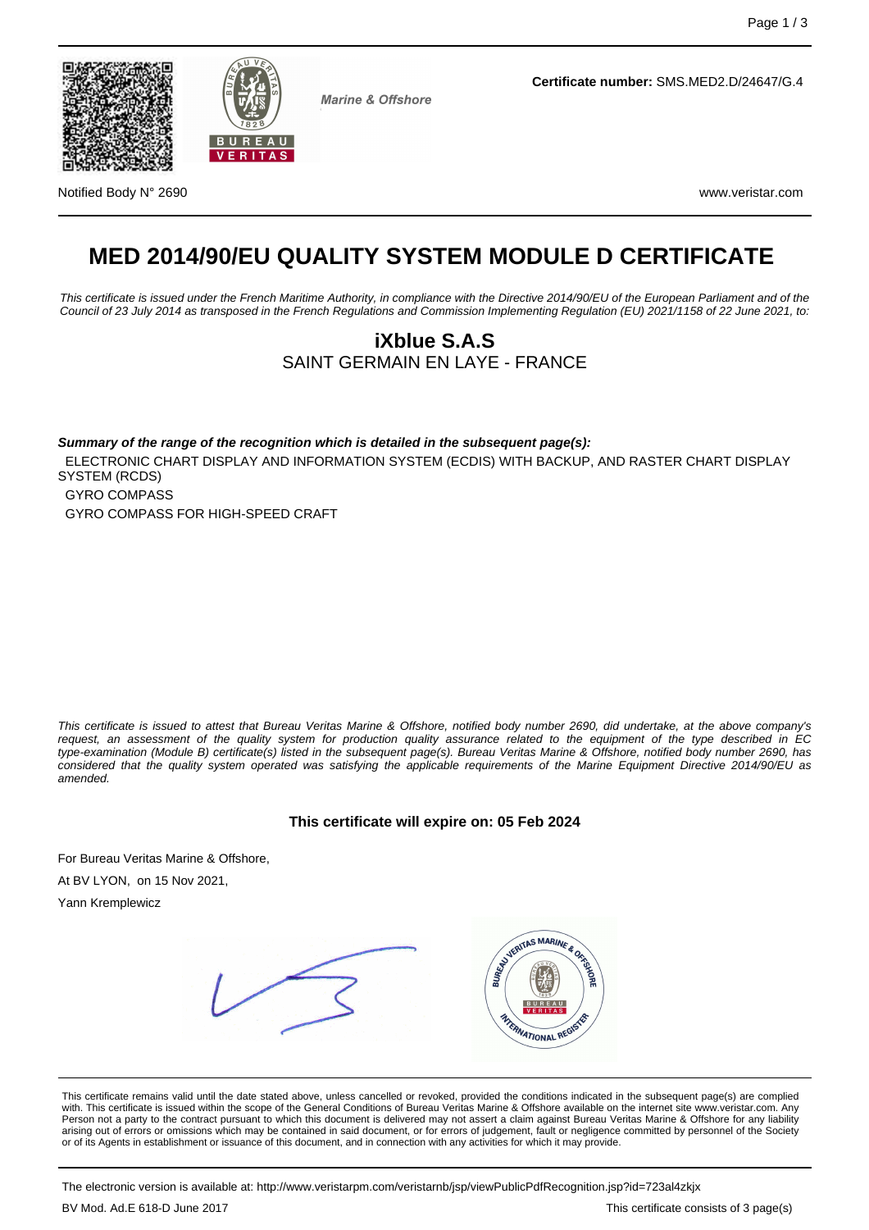



**Marine & Offshore** 

**Certificate number:** SMS.MED2.D/24647/G.4

Notified Body N° 2690 www.veristar.com

# **MED 2014/90/EU QUALITY SYSTEM MODULE D CERTIFICATE**

This certificate is issued under the French Maritime Authority, in compliance with the Directive 2014/90/EU of the European Parliament and of the Council of 23 July 2014 as transposed in the French Regulations and Commission Implementing Regulation (EU) 2021/1158 of 22 June 2021, to:

## **iXblue S.A.S** SAINT GERMAIN EN LAYE - FRANCE

**Summary of the range of the recognition which is detailed in the subsequent page(s):** ELECTRONIC CHART DISPLAY AND INFORMATION SYSTEM (ECDIS) WITH BACKUP, AND RASTER CHART DISPLAY SYSTEM (RCDS) GYRO COMPASS GYRO COMPASS FOR HIGH-SPEED CRAFT

This certificate is issued to attest that Bureau Veritas Marine & Offshore, notified body number 2690, did undertake, at the above company's request, an assessment of the quality system for production quality assurance related to the equipment of the type described in EC type-examination (Module B) certificate(s) listed in the subsequent page(s). Bureau Veritas Marine & Offshore, notified body number 2690, has considered that the quality system operated was satisfying the applicable requirements of the Marine Equipment Directive 2014/90/EU as amended.

#### **This certificate will expire on: 05 Feb 2024**

For Bureau Veritas Marine & Offshore, At BV LYON, on 15 Nov 2021, Yann Kremplewicz JERITAS MARINE & ORG **MARINATIONAL REGISTER** 

This certificate remains valid until the date stated above, unless cancelled or revoked, provided the conditions indicated in the subsequent page(s) are complied with. This certificate is issued within the scope of the General Conditions of Bureau Veritas Marine & Offshore available on the internet site www.veristar.com. Any Person not a party to the contract pursuant to which this document is delivered may not assert a claim against Bureau Veritas Marine & Offshore for any liability arising out of errors or omissions which may be contained in said document, or for errors of judgement, fault or negligence committed by personnel of the Society or of its Agents in establishment or issuance of this document, and in connection with any activities for which it may provide.

The electronic version is available at: http://www.veristarpm.com/veristarnb/jsp/viewPublicPdfRecognition.jsp?id=723al4zkjx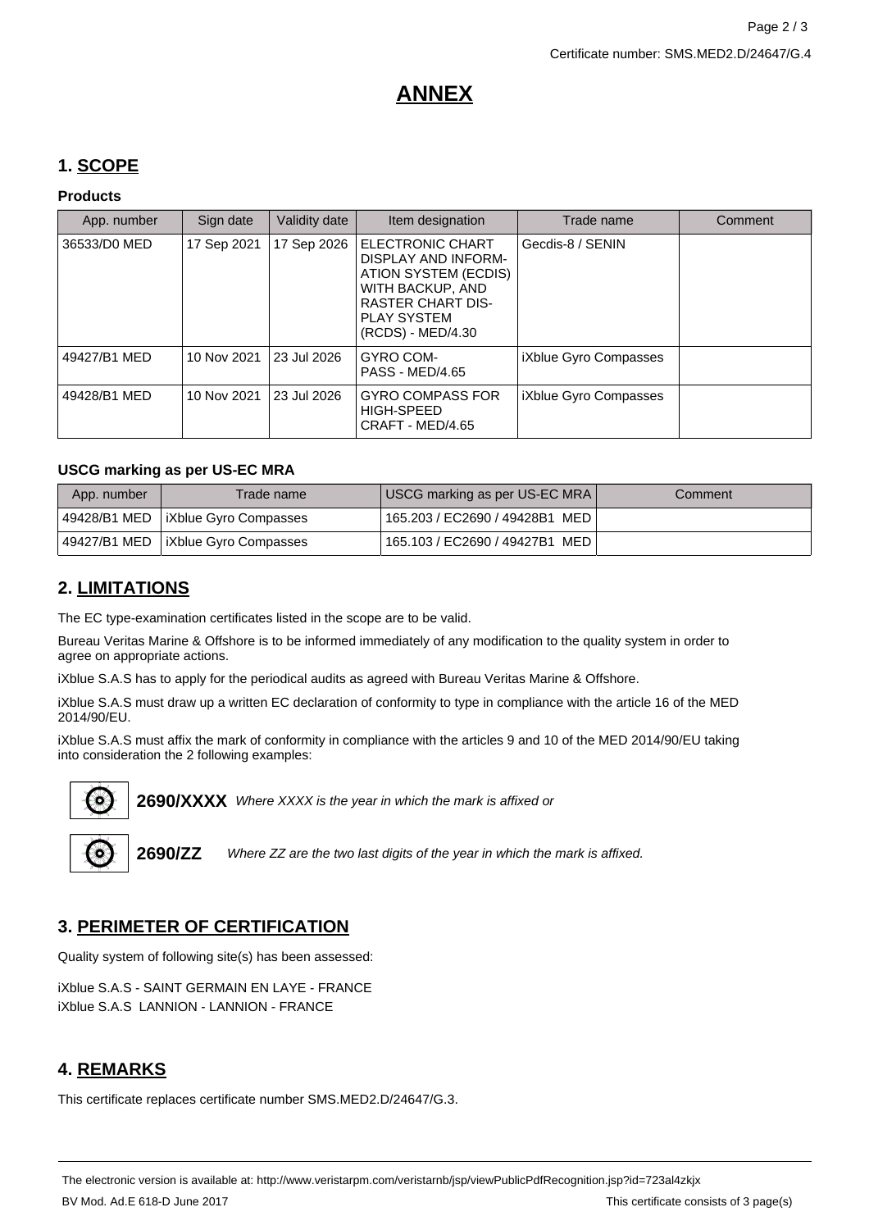## **ANNEX**

## **1. SCOPE**

#### **Products**

| App. number  | Sign date   | Validity date | Item designation                                                                                                                                           | Trade name            | Comment |
|--------------|-------------|---------------|------------------------------------------------------------------------------------------------------------------------------------------------------------|-----------------------|---------|
| 36533/D0 MED | 17 Sep 2021 | 17 Sep 2026   | ELECTRONIC CHART<br>DISPLAY AND INFORM-<br>ATION SYSTEM (ECDIS)<br>WITH BACKUP, AND<br><b>RASTER CHART DIS-</b><br><b>PLAY SYSTEM</b><br>(RCDS) - MED/4.30 | Gecdis-8 / SENIN      |         |
| 49427/B1 MED | 10 Nov 2021 | 23 Jul 2026   | GYRO COM-<br><b>PASS - MED/4.65</b>                                                                                                                        | iXblue Gyro Compasses |         |
| 49428/B1 MED | 10 Nov 2021 | 23 Jul 2026   | <b>GYRO COMPASS FOR</b><br>HIGH-SPEED<br>CRAFT - MED/4.65                                                                                                  | iXblue Gyro Compasses |         |

#### **USCG marking as per US-EC MRA**

| App. number | Trade name                           | USCG marking as per US-EC MRA    | Comment |
|-------------|--------------------------------------|----------------------------------|---------|
|             | 49428/B1 MED   iXblue Gyro Compasses | 165.203 / EC2690 / 49428B1 MED I |         |
|             | 49427/B1 MED   iXblue Gyro Compasses | 165.103 / EC2690 / 49427B1 MED I |         |

## **2. LIMITATIONS**

The EC type-examination certificates listed in the scope are to be valid.

Bureau Veritas Marine & Offshore is to be informed immediately of any modification to the quality system in order to agree on appropriate actions.

iXblue S.A.S has to apply for the periodical audits as agreed with Bureau Veritas Marine & Offshore.

iXblue S.A.S must draw up a written EC declaration of conformity to type in compliance with the article 16 of the MED 2014/90/EU.

iXblue S.A.S must affix the mark of conformity in compliance with the articles 9 and 10 of the MED 2014/90/EU taking into consideration the 2 following examples:



2690/XXXX Where XXXX is the year in which the mark is affixed or



**2690/ZZ** Where ZZ are the two last digits of the year in which the mark is affixed.

## **3. PERIMETER OF CERTIFICATION**

Quality system of following site(s) has been assessed:

iXblue S.A.S - SAINT GERMAIN EN LAYE - FRANCE iXblue S.A.S LANNION - LANNION - FRANCE

## **4. REMARKS**

This certificate replaces certificate number SMS.MED2.D/24647/G.3.